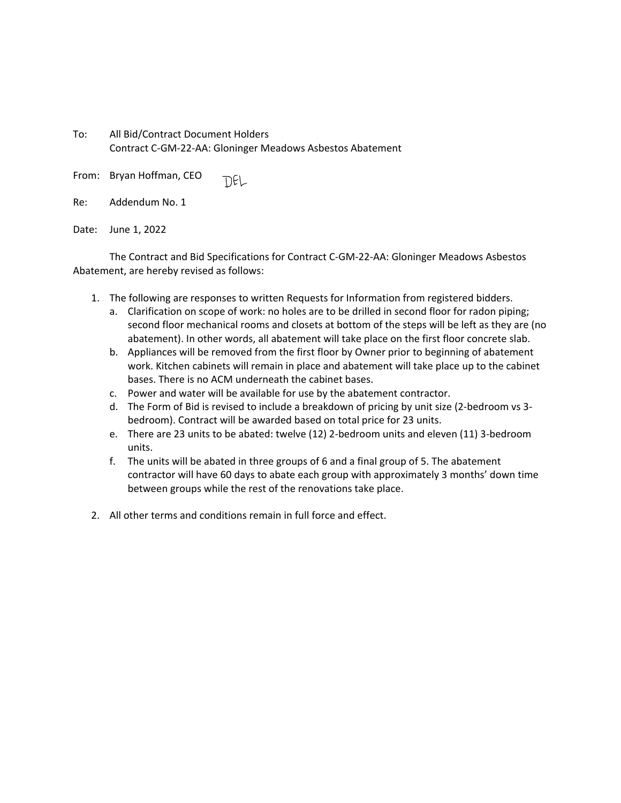To: All Bid/Contract Document Holders Contract C‐GM‐22‐AA: Gloninger Meadows Asbestos Abatement

From: Bryan Hoffman, CEO TIEL

| Re: | Addendum No. 1 |  |
|-----|----------------|--|
|     |                |  |

Date: June 1, 2022

The Contract and Bid Specifications for Contract C‐GM‐22‐AA: Gloninger Meadows Asbestos Abatement, are hereby revised as follows:

- 1. The following are responses to written Requests for Information from registered bidders.
	- a. Clarification on scope of work: no holes are to be drilled in second floor for radon piping; second floor mechanical rooms and closets at bottom of the steps will be left as they are (no abatement). In other words, all abatement will take place on the first floor concrete slab.
	- b. Appliances will be removed from the first floor by Owner prior to beginning of abatement work. Kitchen cabinets will remain in place and abatement will take place up to the cabinet bases. There is no ACM underneath the cabinet bases.
	- c. Power and water will be available for use by the abatement contractor.
	- d. The Form of Bid is revised to include a breakdown of pricing by unit size (2‐bedroom vs 3‐ bedroom). Contract will be awarded based on total price for 23 units.
	- e. There are 23 units to be abated: twelve (12) 2‐bedroom units and eleven (11) 3‐bedroom units.
	- f. The units will be abated in three groups of 6 and a final group of 5. The abatement contractor will have 60 days to abate each group with approximately 3 months' down time between groups while the rest of the renovations take place.
- 2. All other terms and conditions remain in full force and effect.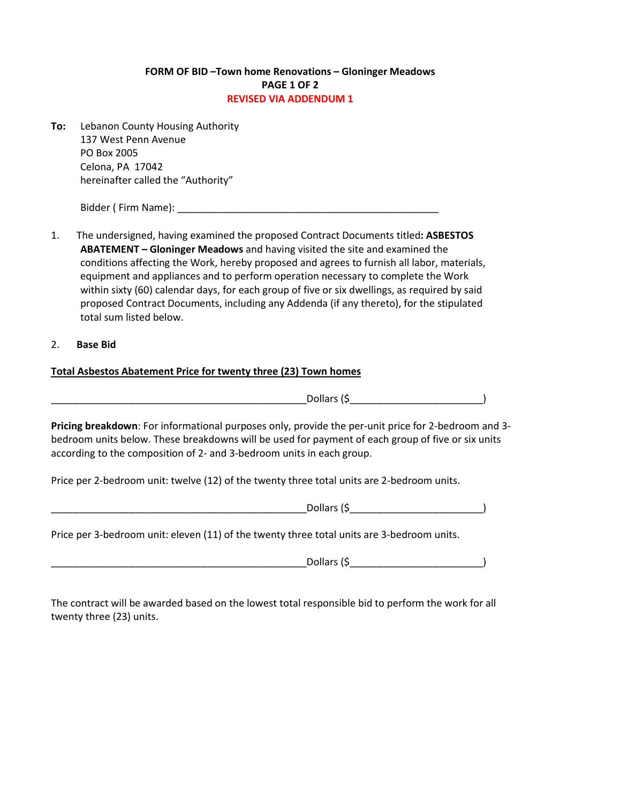## FORM OF BID –Town home Renovations – Gloninger Meadows PAGE 1 OF 2 REVISED VIA ADDENDUM 1

To: Lebanon County Housing Authority 137 West Penn Avenue PO Box 2005 Celona, PA 17042 hereinafter called the "Authority"

Bidder (Firm Name):  $\Box$ 

- 1. The undersigned, having examined the proposed Contract Documents titled: ASBESTOS ABATEMENT – Gloninger Meadows and having visited the site and examined the conditions affecting the Work, hereby proposed and agrees to furnish all labor, materials, equipment and appliances and to perform operation necessary to complete the Work within sixty (60) calendar days, for each group of five or six dwellings, as required by said proposed Contract Documents, including any Addenda (if any thereto), for the stipulated total sum listed below.
- 2. Base Bid

## Total Asbestos Abatement Price for twenty three (23) Town homes

\_\_\_\_\_\_\_\_\_\_\_\_\_\_\_\_\_\_\_\_\_\_\_\_\_\_\_\_\_\_\_\_\_\_\_\_\_\_\_\_\_\_\_\_\_\_Dollars (\$\_\_\_\_\_\_\_\_\_\_\_\_\_\_\_\_\_\_\_\_\_\_\_\_)

Pricing breakdown: For informational purposes only, provide the per-unit price for 2-bedroom and 3 bedroom units below. These breakdowns will be used for payment of each group of five or six units according to the composition of 2- and 3-bedroom units in each group.

Price per 2-bedroom unit: twelve (12) of the twenty three total units are 2-bedroom units.

Price per 3-bedroom unit: eleven (11) of the twenty three total units are 3-bedroom units.

 $\Box$  Dollars (\$ $\Box$  )

The contract will be awarded based on the lowest total responsible bid to perform the work for all twenty three (23) units.